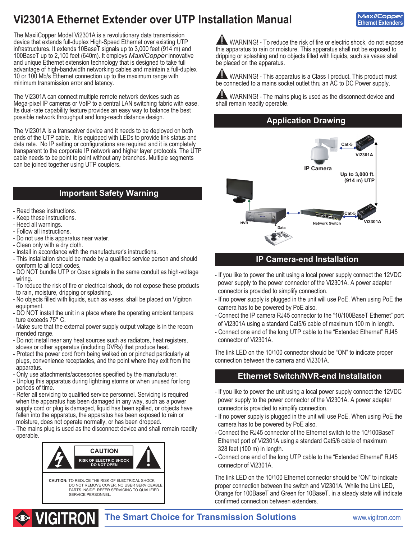# **Vi2301A Ethernet Extender over UTP Installation Manual**

**MaxiiCopper Ethernet Extenders**

The MaxiiCopper Model Vi2301A is a revolutionary data transmission device that extends full-duplex High-Speed Ethernet over existing UTP infrastructures. It extends 10BaseT signals up to 3,000 feet (914 m) and 100BaseT up to 2,100 feet (640m). It employs *MaxiiCopper* innovative and unique Ethernet extension technology that is designed to take full advantage of high-bandwidth networking cables and maintain a full-duplex 10 or 100 Mb/s Ethernet connection up to the maximum range with minimum transmission error and latency.

The Vi2301A can connect multiple remote network devices such as Mega-pixel IP cameras or VoIP to a central LAN switching fabric with ease. Its dual-rate capability feature provides an easy way to balance the best possible network throughput and long-reach distance design.

The Vi2301A is a transceiver device and it needs to be deployed on both ends of the UTP cable. It is equipped with LEDs to provide link status and data rate. No IP setting or configurations are required and it is completely transparent to the corporate IP network and higher layer protocols. The UTP cable needs to be point to point without any branches. Multiple segments can be joined together using UTP couplers.

### **Important Safety Warning**

- Read these instructions.
- Keep these instructions.
- Heed all warnings.
- Follow all instructions.
- Do not use this apparatus near water.
- Clean only with a dry cloth.
- Install in accordance with the manufacturer's instructions.
- This installation should be made by a qualified service person and should conform to all local codes.
- DO NOT bundle UTP or Coax signals in the same conduit as high-voltage wiring.
- To reduce the risk of fire or electrical shock, do not expose these products to rain, moisture, dripping or splashing.
- No objects filled with liquids, such as vases, shall be placed on Vigitron equipment.
- DO NOT install the unit in a place where the operating ambient tempera ture exceeds 75° C.
- Make sure that the external power supply output voltage is in the recom mended range.
- Do not install near any heat sources such as radiators, heat registers, stoves or other apparatus (including DVRs) that produce heat.
- Protect the power cord from being walked on or pinched particularly at plugs, convenience receptacles, and the point where they exit from the apparatus.
- Only use attachments/accessories specified by the manufacturer.
- Unplug this apparatus during lightning storms or when unused for long periods of time.
- Refer all servicing to qualified service personnel. Servicing is required when the apparatus has been damaged in any way, such as a power supply cord or plug is damaged, liquid has been spilled, or objects have fallen into the apparatus, the apparatus has been exposed to rain or moisture, does not operate normally, or has been dropped.
- The mains plug is used as the disconnect device and shall remain readily operable.



WARNING! - To reduce the risk of fire or electric shock, do not expose this apparatus to rain or moisture. This apparatus shall not be exposed to dripping or splashing and no objects filled with liquids, such as vases shall be placed on the apparatus.

**AN** WARNING! - This apparatus is a Class I product. This product must be connected to a mains socket outlet thru an AC to DC Power supply.

 WARNING! - The mains plug is used as the disconnect device and shall remain readily operable.

### **Application Drawing**



### **IP Camera-end Installation**

- If you like to power the unit using a local power supply connect the 12VDC power supply to the power connector of the Vi2301A. A power adapter connector is provided to simplify connection.
- If no power supply is plugged in the unit will use PoE. When using PoE the camera has to be powered by PoE also.
- Connect the IP camera RJ45 connector to the "10/100BaseT Ethernet" port of Vi2301A using a standard Cat5/6 cable of maximum 100 m in length.
- Connect one end of the long UTP cable to the "Extended Ethernet" RJ45 connector of Vi2301A.

The link LED on the 10/100 connector should be "ON" to indicate proper connection between the camera and Vi2301A.

### **Ethernet Switch/NVR-end Installation**

- If you like to power the unit using a local power supply connect the 12VDC power supply to the power connector of the Vi2301A. A power adapter connector is provided to simplify connection.
- If no power supply is plugged in the unit will use PoE. When using PoE the camera has to be powered by PoE also.
- Connect the RJ45 connector of the Ethernet switch to the 10/100BaseT Ethernet port of Vi2301A using a standard Cat5/6 cable of maximum 328 feet (100 m) in length.
- Connect one end of the long UTP cable to the "Extended Ethernet" RJ45 connector of Vi2301A.

The link LED on the 10/100 Ethernet connector should be "ON" to indicate proper connection between the switch and Vi2301A. While the Link LED, Orange for 100BaseT and Green for 10BaseT, in a steady state will indicate confirmed connection between extenders.



### **The Smart Choice for Transmission Solutions www.vigitron.com**